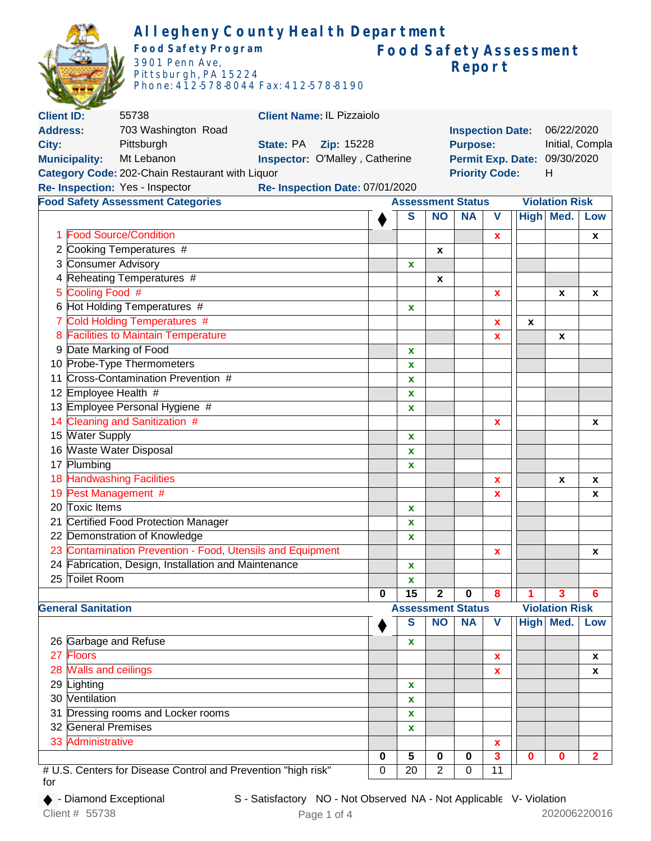|                      |                                        | Allegheny County Health Department<br><b>Food Safety Program</b><br>3901 Penn Ave,<br>Pittsburgh, PA 15224<br>Phone: 412-578-8044 Fax: 412-578-8190 |  |                                 |                                  |                                    |                 |                          | Report                  |                 |             | <b>Food Safety Assessment</b> |                |
|----------------------|----------------------------------------|-----------------------------------------------------------------------------------------------------------------------------------------------------|--|---------------------------------|----------------------------------|------------------------------------|-----------------|--------------------------|-------------------------|-----------------|-------------|-------------------------------|----------------|
| <b>Client ID:</b>    |                                        | 55738                                                                                                                                               |  |                                 | <b>Client Name: IL Pizzaiolo</b> |                                    |                 |                          |                         |                 |             |                               |                |
| <b>Address:</b>      |                                        | 703 Washington Road                                                                                                                                 |  |                                 |                                  |                                    |                 |                          | <b>Inspection Date:</b> |                 |             | 06/22/2020                    |                |
| City:                |                                        | Pittsburgh                                                                                                                                          |  | State: PA                       | Zip: 15228                       | Initial, Compla<br><b>Purpose:</b> |                 |                          |                         |                 |             |                               |                |
| <b>Municipality:</b> |                                        | Mt Lebanon                                                                                                                                          |  | Inspector: O'Malley, Catherine  |                                  |                                    |                 |                          |                         |                 |             | Permit Exp. Date: 09/30/2020  |                |
|                      |                                        | Category Code: 202-Chain Restaurant with Liquor                                                                                                     |  |                                 |                                  |                                    |                 |                          | <b>Priority Code:</b>   |                 |             | H                             |                |
|                      |                                        |                                                                                                                                                     |  |                                 |                                  |                                    |                 |                          |                         |                 |             |                               |                |
|                      |                                        | Re- Inspection: Yes - Inspector                                                                                                                     |  | Re- Inspection Date: 07/01/2020 |                                  |                                    |                 |                          |                         |                 |             |                               |                |
|                      |                                        | <b>Food Safety Assessment Categories</b>                                                                                                            |  |                                 |                                  |                                    |                 | <b>Assessment Status</b> |                         |                 |             | <b>Violation Risk</b>         |                |
|                      |                                        |                                                                                                                                                     |  |                                 |                                  |                                    | S               | <b>NO</b>                | <b>NA</b>               | V               |             | High Med.                     | Low            |
|                      | <b>Food Source/Condition</b>           |                                                                                                                                                     |  |                                 |                                  |                                    |                 |                          |                         | X               |             |                               | X              |
|                      |                                        | 2 Cooking Temperatures #                                                                                                                            |  |                                 |                                  |                                    |                 | X                        |                         |                 |             |                               |                |
|                      | 3 Consumer Advisory                    |                                                                                                                                                     |  |                                 |                                  |                                    | X               |                          |                         |                 |             |                               |                |
| 4                    |                                        | Reheating Temperatures #                                                                                                                            |  |                                 |                                  |                                    |                 | X                        |                         |                 |             |                               |                |
|                      | Cooling Food #                         |                                                                                                                                                     |  |                                 |                                  |                                    |                 |                          |                         |                 |             |                               |                |
| 5                    |                                        |                                                                                                                                                     |  |                                 |                                  |                                    |                 |                          |                         | X               |             | X                             | X              |
|                      |                                        | 6 Hot Holding Temperatures #                                                                                                                        |  |                                 |                                  |                                    | X               |                          |                         |                 |             |                               |                |
| 7                    |                                        | Cold Holding Temperatures #                                                                                                                         |  |                                 |                                  |                                    |                 |                          |                         | x               | x           |                               |                |
| 8                    |                                        | <b>Facilities to Maintain Temperature</b>                                                                                                           |  |                                 |                                  |                                    |                 |                          |                         | x               |             | X                             |                |
| 9                    | Date Marking of Food                   |                                                                                                                                                     |  |                                 |                                  |                                    | X               |                          |                         |                 |             |                               |                |
|                      |                                        | 10 Probe-Type Thermometers                                                                                                                          |  |                                 |                                  |                                    | X               |                          |                         |                 |             |                               |                |
| 11                   |                                        | Cross-Contamination Prevention #                                                                                                                    |  |                                 |                                  |                                    | x               |                          |                         |                 |             |                               |                |
|                      | 12 Employee Health #                   |                                                                                                                                                     |  |                                 |                                  |                                    | X               |                          |                         |                 |             |                               |                |
|                      |                                        | 13 Employee Personal Hygiene #                                                                                                                      |  |                                 |                                  |                                    | X               |                          |                         |                 |             |                               |                |
|                      |                                        | 14 Cleaning and Sanitization #                                                                                                                      |  |                                 |                                  |                                    |                 |                          |                         | x               |             |                               | X              |
|                      | 15 Water Supply                        |                                                                                                                                                     |  |                                 | X                                |                                    |                 |                          |                         |                 |             |                               |                |
|                      | 16 Waste Water Disposal                |                                                                                                                                                     |  |                                 | X                                |                                    |                 |                          |                         |                 |             |                               |                |
|                      | 17 Plumbing                            |                                                                                                                                                     |  |                                 |                                  |                                    | X               |                          |                         |                 |             |                               |                |
|                      |                                        |                                                                                                                                                     |  |                                 |                                  |                                    |                 |                          |                         |                 |             |                               |                |
|                      | 18 Handwashing Facilities              |                                                                                                                                                     |  |                                 |                                  |                                    |                 | X                        |                         | x               | X           |                               |                |
|                      | 19 Pest Management #<br>20 Toxic Items |                                                                                                                                                     |  |                                 |                                  |                                    |                 | x                        |                         |                 | x           |                               |                |
|                      |                                        |                                                                                                                                                     |  |                                 |                                  |                                    | X               |                          |                         |                 |             |                               |                |
| 21                   |                                        | <b>Certified Food Protection Manager</b>                                                                                                            |  |                                 |                                  |                                    | $\mathbf x$     |                          |                         |                 |             |                               |                |
|                      |                                        | 22 Demonstration of Knowledge                                                                                                                       |  |                                 |                                  |                                    | $\mathbf x$     |                          |                         |                 |             |                               |                |
|                      |                                        | 23 Contamination Prevention - Food, Utensils and Equipment                                                                                          |  |                                 |                                  |                                    |                 |                          |                         | X               |             |                               | X              |
|                      |                                        | 24 Fabrication, Design, Installation and Maintenance                                                                                                |  |                                 |                                  |                                    | X               |                          |                         |                 |             |                               |                |
|                      | 25 Toilet Room                         |                                                                                                                                                     |  |                                 |                                  |                                    | $\mathbf{x}$    |                          |                         |                 |             |                               |                |
|                      |                                        |                                                                                                                                                     |  |                                 |                                  | 0                                  | 15              | $\overline{2}$           | 0                       | 8               | 1           | $\overline{\mathbf{3}}$       | 6              |
|                      | <b>General Sanitation</b>              |                                                                                                                                                     |  |                                 |                                  |                                    |                 | <b>Assessment Status</b> |                         |                 |             | <b>Violation Risk</b>         |                |
|                      |                                        |                                                                                                                                                     |  |                                 |                                  |                                    | S               | <b>NO</b>                | <b>NA</b>               | V               |             | High Med.                     | Low            |
|                      | 26 Garbage and Refuse                  |                                                                                                                                                     |  |                                 |                                  |                                    |                 |                          |                         |                 |             |                               |                |
|                      |                                        |                                                                                                                                                     |  |                                 |                                  |                                    | X               |                          |                         |                 |             |                               |                |
| 27                   | Floors                                 |                                                                                                                                                     |  |                                 |                                  |                                    |                 |                          |                         | x               |             |                               | X              |
|                      | 28 Walls and ceilings                  |                                                                                                                                                     |  |                                 |                                  |                                    |                 |                          |                         | $\mathbf x$     |             |                               | X              |
|                      | 29 Lighting                            |                                                                                                                                                     |  |                                 |                                  |                                    | X               |                          |                         |                 |             |                               |                |
|                      | 30 Ventilation                         |                                                                                                                                                     |  |                                 |                                  |                                    | X               |                          |                         |                 |             |                               |                |
| 31                   |                                        | Dressing rooms and Locker rooms                                                                                                                     |  |                                 |                                  |                                    | $\mathbf x$     |                          |                         |                 |             |                               |                |
|                      | 32 General Premises                    |                                                                                                                                                     |  |                                 |                                  | X                                  |                 |                          |                         |                 |             |                               |                |
|                      | 33 Administrative                      |                                                                                                                                                     |  |                                 |                                  |                                    |                 |                          |                         | $\mathbf x$     |             |                               |                |
|                      |                                        |                                                                                                                                                     |  |                                 |                                  | 0                                  | 5               | $\bf{0}$                 | 0                       | 3               | $\mathbf 0$ | $\mathbf 0$                   | $\overline{2}$ |
|                      |                                        | # U.S. Centers for Disease Control and Prevention "high risk"                                                                                       |  |                                 |                                  | 0                                  | $\overline{20}$ | $\overline{2}$           | $\mathbf 0$             | $\overline{11}$ |             |                               |                |

# U.S. Centers for Disease Control and Prevention "high risk" for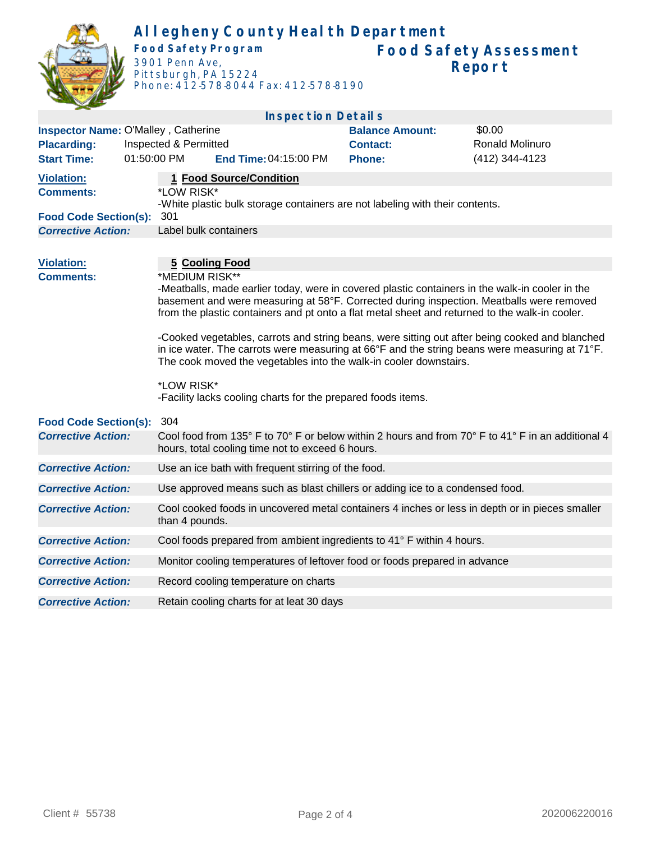

## **Allegheny County Health Department Food Safety Program**

3901 Penn Ave, Pittsburgh, PA 15224 Phone: 412-578-8044 Fax: 412-578-8190

|                                       |                                     | <b>Inspection Details</b>                                                                                                                                                                                                                                                                                                                                                                                                                                                                                                                                                                                                                                                                      |                        |                        |  |  |  |  |  |
|---------------------------------------|-------------------------------------|------------------------------------------------------------------------------------------------------------------------------------------------------------------------------------------------------------------------------------------------------------------------------------------------------------------------------------------------------------------------------------------------------------------------------------------------------------------------------------------------------------------------------------------------------------------------------------------------------------------------------------------------------------------------------------------------|------------------------|------------------------|--|--|--|--|--|
|                                       | Inspector Name: O'Malley, Catherine |                                                                                                                                                                                                                                                                                                                                                                                                                                                                                                                                                                                                                                                                                                | <b>Balance Amount:</b> | \$0.00                 |  |  |  |  |  |
| <b>Placarding:</b>                    | Inspected & Permitted               |                                                                                                                                                                                                                                                                                                                                                                                                                                                                                                                                                                                                                                                                                                | <b>Contact:</b>        | <b>Ronald Molinuro</b> |  |  |  |  |  |
| <b>Start Time:</b>                    | 01:50:00 PM                         | End Time: 04:15:00 PM                                                                                                                                                                                                                                                                                                                                                                                                                                                                                                                                                                                                                                                                          | <b>Phone:</b>          | (412) 344-4123         |  |  |  |  |  |
| <b>Violation:</b><br><b>Comments:</b> |                                     | 1 Food Source/Condition<br>*LOW RISK*                                                                                                                                                                                                                                                                                                                                                                                                                                                                                                                                                                                                                                                          |                        |                        |  |  |  |  |  |
| <b>Food Code Section(s):</b>          |                                     | -White plastic bulk storage containers are not labeling with their contents.<br>301                                                                                                                                                                                                                                                                                                                                                                                                                                                                                                                                                                                                            |                        |                        |  |  |  |  |  |
| <b>Corrective Action:</b>             |                                     | Label bulk containers                                                                                                                                                                                                                                                                                                                                                                                                                                                                                                                                                                                                                                                                          |                        |                        |  |  |  |  |  |
|                                       |                                     |                                                                                                                                                                                                                                                                                                                                                                                                                                                                                                                                                                                                                                                                                                |                        |                        |  |  |  |  |  |
| <b>Violation:</b><br><b>Comments:</b> |                                     | <b>5 Cooling Food</b><br>*MEDIUM RISK**<br>-Meatballs, made earlier today, were in covered plastic containers in the walk-in cooler in the<br>basement and were measuring at 58°F. Corrected during inspection. Meatballs were removed<br>from the plastic containers and pt onto a flat metal sheet and returned to the walk-in cooler.<br>-Cooked vegetables, carrots and string beans, were sitting out after being cooked and blanched<br>in ice water. The carrots were measuring at 66°F and the string beans were measuring at 71°F.<br>The cook moved the vegetables into the walk-in cooler downstairs.<br>*LOW RISK*<br>-Facility lacks cooling charts for the prepared foods items. |                        |                        |  |  |  |  |  |
| <b>Food Code Section(s):</b>          | 304                                 |                                                                                                                                                                                                                                                                                                                                                                                                                                                                                                                                                                                                                                                                                                |                        |                        |  |  |  |  |  |
| <b>Corrective Action:</b>             |                                     | Cool food from 135° F to 70° F or below within 2 hours and from 70° F to 41° F in an additional 4<br>hours, total cooling time not to exceed 6 hours.                                                                                                                                                                                                                                                                                                                                                                                                                                                                                                                                          |                        |                        |  |  |  |  |  |
| <b>Corrective Action:</b>             |                                     | Use an ice bath with frequent stirring of the food.                                                                                                                                                                                                                                                                                                                                                                                                                                                                                                                                                                                                                                            |                        |                        |  |  |  |  |  |
| <b>Corrective Action:</b>             |                                     | Use approved means such as blast chillers or adding ice to a condensed food.                                                                                                                                                                                                                                                                                                                                                                                                                                                                                                                                                                                                                   |                        |                        |  |  |  |  |  |
| <b>Corrective Action:</b>             |                                     | Cool cooked foods in uncovered metal containers 4 inches or less in depth or in pieces smaller<br>than 4 pounds.                                                                                                                                                                                                                                                                                                                                                                                                                                                                                                                                                                               |                        |                        |  |  |  |  |  |
| <b>Corrective Action:</b>             |                                     | Cool foods prepared from ambient ingredients to 41° F within 4 hours.                                                                                                                                                                                                                                                                                                                                                                                                                                                                                                                                                                                                                          |                        |                        |  |  |  |  |  |
| <b>Corrective Action:</b>             |                                     | Monitor cooling temperatures of leftover food or foods prepared in advance                                                                                                                                                                                                                                                                                                                                                                                                                                                                                                                                                                                                                     |                        |                        |  |  |  |  |  |
| <b>Corrective Action:</b>             |                                     | Record cooling temperature on charts                                                                                                                                                                                                                                                                                                                                                                                                                                                                                                                                                                                                                                                           |                        |                        |  |  |  |  |  |
| <b>Corrective Action:</b>             |                                     | Retain cooling charts for at leat 30 days                                                                                                                                                                                                                                                                                                                                                                                                                                                                                                                                                                                                                                                      |                        |                        |  |  |  |  |  |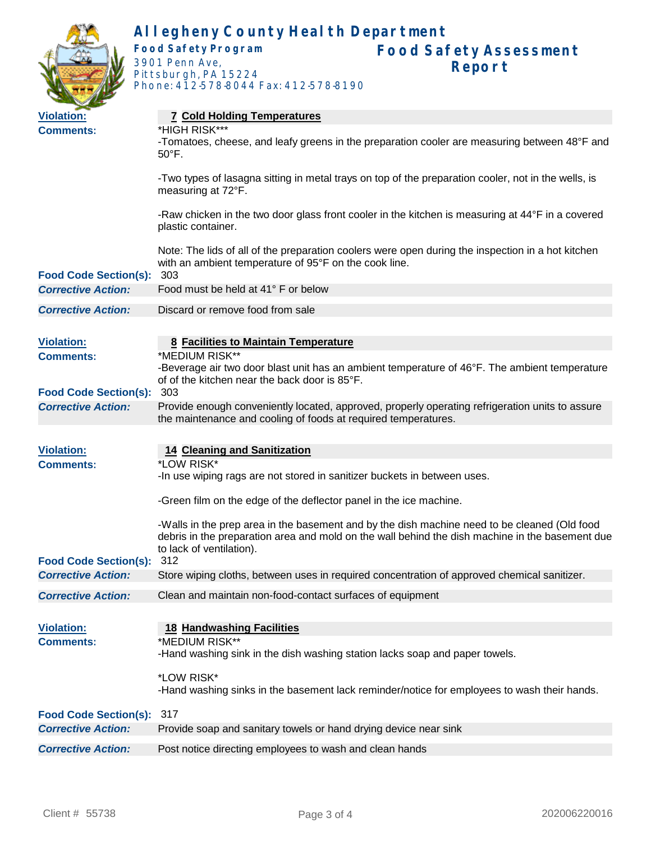|                                                           | Allegheny County Health Department                                                                                                                                                                                          |  |  |  |  |  |
|-----------------------------------------------------------|-----------------------------------------------------------------------------------------------------------------------------------------------------------------------------------------------------------------------------|--|--|--|--|--|
|                                                           | <b>Food Safety Program</b><br><b>Food Safety Assessment</b><br>3901 Penn Ave,<br>Report<br>Pittsburgh, PA 15224<br>Phone: 412-578-8044 Fax: 412-578-8190                                                                    |  |  |  |  |  |
| <b>Violation:</b>                                         | <b>7 Cold Holding Temperatures</b>                                                                                                                                                                                          |  |  |  |  |  |
| <b>Comments:</b>                                          | *HIGH RISK***<br>-Tomatoes, cheese, and leafy greens in the preparation cooler are measuring between 48°F and<br>$50^{\circ}$ F.                                                                                            |  |  |  |  |  |
|                                                           | -Two types of lasagna sitting in metal trays on top of the preparation cooler, not in the wells, is<br>measuring at 72°F.                                                                                                   |  |  |  |  |  |
|                                                           | -Raw chicken in the two door glass front cooler in the kitchen is measuring at 44°F in a covered<br>plastic container.                                                                                                      |  |  |  |  |  |
| <b>Food Code Section(s):</b>                              | Note: The lids of all of the preparation coolers were open during the inspection in a hot kitchen<br>with an ambient temperature of 95°F on the cook line.<br>303                                                           |  |  |  |  |  |
| <b>Corrective Action:</b>                                 | Food must be held at 41° F or below                                                                                                                                                                                         |  |  |  |  |  |
| <b>Corrective Action:</b>                                 | Discard or remove food from sale                                                                                                                                                                                            |  |  |  |  |  |
|                                                           |                                                                                                                                                                                                                             |  |  |  |  |  |
| <b>Violation:</b>                                         | 8 Facilities to Maintain Temperature                                                                                                                                                                                        |  |  |  |  |  |
| <b>Comments:</b>                                          | *MEDIUM RISK**                                                                                                                                                                                                              |  |  |  |  |  |
| <b>Food Code Section(s):</b>                              | -Beverage air two door blast unit has an ambient temperature of 46°F. The ambient temperature<br>of of the kitchen near the back door is 85°F.<br>303                                                                       |  |  |  |  |  |
| <b>Corrective Action:</b>                                 | Provide enough conveniently located, approved, properly operating refrigeration units to assure<br>the maintenance and cooling of foods at required temperatures.                                                           |  |  |  |  |  |
|                                                           |                                                                                                                                                                                                                             |  |  |  |  |  |
| <b>Violation:</b>                                         | <b>14 Cleaning and Sanitization</b>                                                                                                                                                                                         |  |  |  |  |  |
| <b>Comments:</b>                                          | *LOW RISK*<br>-In use wiping rags are not stored in sanitizer buckets in between uses.                                                                                                                                      |  |  |  |  |  |
|                                                           | -Green film on the edge of the deflector panel in the ice machine.                                                                                                                                                          |  |  |  |  |  |
|                                                           | -Walls in the prep area in the basement and by the dish machine need to be cleaned (Old food<br>debris in the preparation area and mold on the wall behind the dish machine in the basement due<br>to lack of ventilation). |  |  |  |  |  |
| <b>Food Code Section(s):</b><br><b>Corrective Action:</b> | 312<br>Store wiping cloths, between uses in required concentration of approved chemical sanitizer.                                                                                                                          |  |  |  |  |  |
|                                                           |                                                                                                                                                                                                                             |  |  |  |  |  |
| <b>Corrective Action:</b>                                 | Clean and maintain non-food-contact surfaces of equipment                                                                                                                                                                   |  |  |  |  |  |
| <b>Violation:</b>                                         | <b>18 Handwashing Facilities</b>                                                                                                                                                                                            |  |  |  |  |  |
| <b>Comments:</b>                                          | *MEDIUM RISK**<br>-Hand washing sink in the dish washing station lacks soap and paper towels.                                                                                                                               |  |  |  |  |  |
|                                                           | *LOW RISK*<br>-Hand washing sinks in the basement lack reminder/notice for employees to wash their hands.                                                                                                                   |  |  |  |  |  |
| <b>Food Code Section(s):</b>                              | 317                                                                                                                                                                                                                         |  |  |  |  |  |
| <b>Corrective Action:</b>                                 | Provide soap and sanitary towels or hand drying device near sink                                                                                                                                                            |  |  |  |  |  |
| <b>Corrective Action:</b>                                 | Post notice directing employees to wash and clean hands                                                                                                                                                                     |  |  |  |  |  |